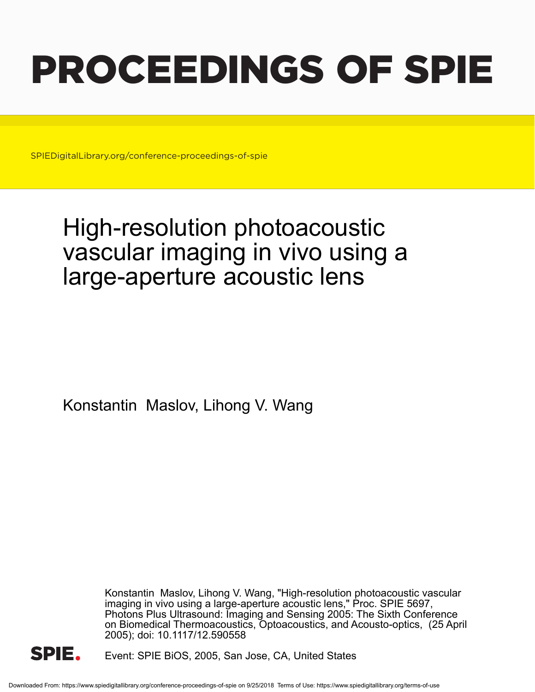# PROCEEDINGS OF SPIE

SPIEDigitalLibrary.org/conference-proceedings-of-spie

## High-resolution photoacoustic vascular imaging in vivo using a large-aperture acoustic lens

Konstantin Maslov, Lihong V. Wang

Konstantin Maslov, Lihong V. Wang, "High-resolution photoacoustic vascular imaging in vivo using a large-aperture acoustic lens," Proc. SPIE 5697, Photons Plus Ultrasound: Imaging and Sensing 2005: The Sixth Conference on Biomedical Thermoacoustics, Optoacoustics, and Acousto-optics, (25 April 2005); doi: 10.1117/12.590558



Event: SPIE BiOS, 2005, San Jose, CA, United States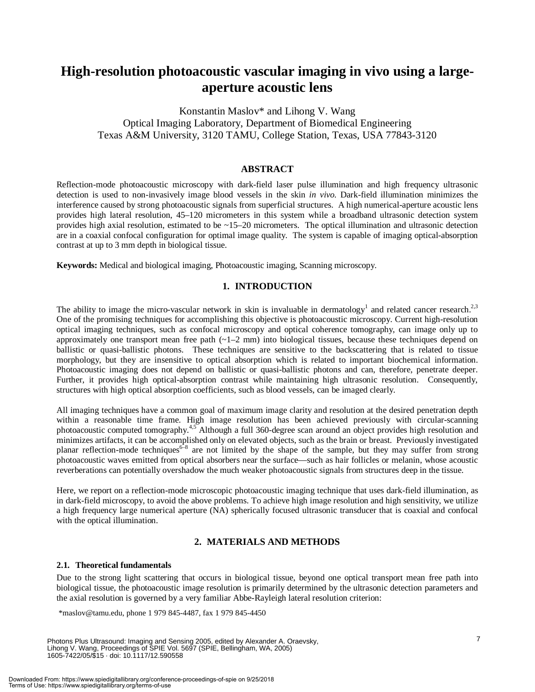### **High-resolution photoacoustic vascular imaging in vivo using a largeaperture acoustic lens**

Konstantin Maslov\* and Lihong V. Wang Optical Imaging Laboratory, Department of Biomedical Engineering Texas A&M University, 3120 TAMU, College Station, Texas, USA 77843-3120

#### **ABSTRACT**

Reflection-mode photoacoustic microscopy with dark-field laser pulse illumination and high frequency ultrasonic detection is used to non-invasively image blood vessels in the skin *in vivo*. Dark-field illumination minimizes the interference caused by strong photoacoustic signals from superficial structures. A high numerical-aperture acoustic lens provides high lateral resolution, 45–120 micrometers in this system while a broadband ultrasonic detection system provides high axial resolution, estimated to be  $\sim$ 15–20 micrometers. The optical illumination and ultrasonic detection are in a coaxial confocal configuration for optimal image quality. The system is capable of imaging optical-absorption contrast at up to 3 mm depth in biological tissue.

**Keywords:** Medical and biological imaging, Photoacoustic imaging, Scanning microscopy.

#### **1. INTRODUCTION**

The ability to image the micro-vascular network in skin is invaluable in dermatology<sup>1</sup> and related cancer research.<sup>2,3</sup> One of the promising techniques for accomplishing this objective is photoacoustic microscopy. Current high-resolution optical imaging techniques, such as confocal microscopy and optical coherence tomography, can image only up to approximately one transport mean free path  $(-1)$  mm) into biological tissues, because these techniques depend on ballistic or quasi-ballistic photons. These techniques are sensitive to the backscattering that is related to tissue morphology, but they are insensitive to optical absorption which is related to important biochemical information. Photoacoustic imaging does not depend on ballistic or quasi-ballistic photons and can, therefore, penetrate deeper. Further, it provides high optical-absorption contrast while maintaining high ultrasonic resolution. Consequently, structures with high optical absorption coefficients, such as blood vessels, can be imaged clearly.

All imaging techniques have a common goal of maximum image clarity and resolution at the desired penetration depth within a reasonable time frame. High image resolution has been achieved previously with circular-scanning photoacoustic computed tomography.<sup>4,5</sup> Although a full 360-degree scan around an object provides high resolution and minimizes artifacts, it can be accomplished only on elevated objects, such as the brain or breast. Previously investigated planar reflection-mode techniques<sup> $6-8$ </sup> are not limited by the shape of the sample, but they may suffer from strong photoacoustic waves emitted from optical absorbers near the surface—such as hair follicles or melanin, whose acoustic reverberations can potentially overshadow the much weaker photoacoustic signals from structures deep in the tissue.

Here, we report on a reflection-mode microscopic photoacoustic imaging technique that uses dark-field illumination, as in dark-field microscopy, to avoid the above problems. To achieve high image resolution and high sensitivity, we utilize a high frequency large numerical aperture (NA) spherically focused ultrasonic transducer that is coaxial and confocal with the optical illumination.

#### **2. MATERIALS AND METHODS**

#### **2.1. Theoretical fundamentals**

Due to the strong light scattering that occurs in biological tissue, beyond one optical transport mean free path into biological tissue, the photoacoustic image resolution is primarily determined by the ultrasonic detection parameters and the axial resolution is governed by a very familiar Abbe-Rayleigh lateral resolution criterion:

\*maslov@tamu.edu, phone 1 979 845-4487, fax 1 979 845-4450

Photons Plus Ultrasound: Imaging and Sensing 2005, edited by Alexander A. Oraevsky, Lihong V. Wang, Proceedings of SPIE Vol. 5697 (SPIE, Bellingham, WA, 2005) 1605-7422/05/\$15 · doi: 10.1117/12.590558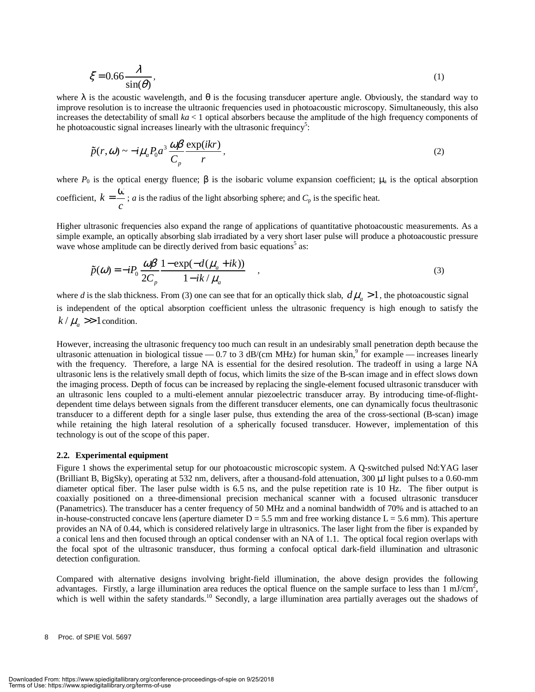$$
\xi = 0.66 \frac{\lambda}{\sin(\theta)},\tag{1}
$$

where  $\lambda$  is the acoustic wavelength, and  $\theta$  is the focusing transducer aperture angle. Obviously, the standard way to improve resolution is to increase the ultraonic frequencies used in photoacoustic microscopy. Simultaneously, this also increases the detectability of small *ka* < 1 optical absorbers because the amplitude of the high frequency components of he photoacoustic signal increases linearly with the ultrasonic frequincy<sup>5</sup>:

$$
\tilde{p}(r,\omega) \sim -i\mu_a P_0 a^3 \frac{\omega \beta}{C_p} \frac{\exp(ikr)}{r},\qquad(2)
$$

 $\tilde{p}(r,\omega) \sim -i\mu_a P_0 a^3 \frac{\omega \rho}{C_p} \frac{\exp(i\kappa r)}{r}$ , (2)<br>is the optical energy fluence;  $\beta$  is the isobaric volume expansion coefficient;  $\mu_a$  is the optical alt,  $k = \frac{\omega}{c}$ ; a is the radius of the light absorbing sphere; where  $P_0$  is the optical energy fluence;  $\beta$  is the isobaric volume expansion coefficient;  $\mu_a$  is the optical absorption coefficient,  $k = \frac{a}{c}$  $k = \frac{\omega}{\omega}$ ; *a* is the radius of the light absorbing sphere; and  $C_p$  is the specific heat.

Higher ultrasonic frequencies also expand the range of applications of quantitative photoacoustic measurements. As a simple example, an optically absorbing slab irradiated by a very short laser pulse will produce a photoacoustic pressure wave whose amplitude can be directly derived from basic equations<sup>5</sup> as:

$$
\tilde{p}(\omega) = -i P_0 \frac{\omega \beta}{2C_p} \frac{1 - \exp(-d(\mu_a + ik))}{1 - ik / \mu_a} \quad , \tag{3}
$$

 $\tilde{p}(\omega) = -iP_0 \frac{P_0 - P_1}{2C_p} = \frac{1 - i k / \mu_a}{1 - i k / \mu_a}$  (3)<br>
the slab thickness. From (3) one can see that for an optically thick slab,  $d\mu_a > 1$ , the photoacoustic<br>
indent of the optical absorption coefficient unless the where *d* is the slab thickness. From (3) one can see that for an optically thick slab,  $d\mu_a > 1$ , the photoacoustic signal is independent of the optical absorption coefficient unless the ultrasonic frequency is high enough to satisfy the  $k/\mu_a >> 1$  condition.

However, increasing the ultrasonic frequency too much can result in an undesirably small penetration depth because the ultrasonic attenuation in biological tissue  $-0.7$  to 3 dB/(cm MHz) for human skin,<sup>9</sup> for example  $-$  increases linearly with the frequency. Therefore, a large NA is essential for the desired resolution. The tradeoff in using a large NA ultrasonic lens is the relatively small depth of focus, which limits the size of the B-scan image and in effect slows down the imaging process. Depth of focus can be increased by replacing the single-element focused ultrasonic transducer with an ultrasonic lens coupled to a multi-element annular piezoelectric transducer array. By introducing time-of-flightdependent time delays between signals from the different transducer elements, one can dynamically focus theultrasonic transducer to a different depth for a single laser pulse, thus extending the area of the cross-sectional (B-scan) image while retaining the high lateral resolution of a spherically focused transducer. However, implementation of this technology is out of the scope of this paper.

#### **2.2. Experimental equipment**

Figure 1 shows the experimental setup for our photoacoustic microscopic system. A Q-switched pulsed Nd:YAG laser (Brilliant B, BigSky), operating at 532 nm, delivers, after a thousand-fold attenuation, 300 µJ light pulses to a 0.60-mm diameter optical fiber. The laser pulse width is 6.5 ns, and the pulse repetition rate is 10 Hz. The fiber output is coaxially positioned on a three-dimensional precision mechanical scanner with a focused ultrasonic transducer (Panametrics). The transducer has a center frequency of 50 MHz and a nominal bandwidth of 70% and is attached to an in-house-constructed concave lens (aperture diameter  $D = 5.5$  mm and free working distance  $L = 5.6$  mm). This aperture provides an NA of 0.44, which is considered relatively large in ultrasonics. The laser light from the fiber is expanded by a conical lens and then focused through an optical condenser with an NA of 1.1. The optical focal region overlaps with the focal spot of the ultrasonic transducer, thus forming a confocal optical dark-field illumination and ultrasonic detection configuration.

Compared with alternative designs involving bright-field illumination, the above design provides the following advantages. Firstly, a large illumination area reduces the optical fluence on the sample surface to less than  $1 \text{ mJ/cm}^2$ , which is well within the safety standards.<sup>10</sup> Secondly, a large illumination area partially averages out the shadows of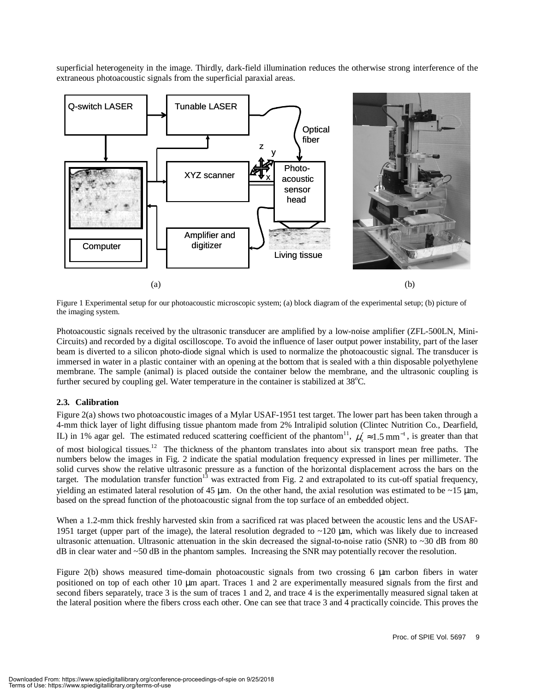superficial heterogeneity in the image. Thirdly, dark-field illumination reduces the otherwise strong interference of the extraneous photoacoustic signals from the superficial paraxial areas.



Figure 1 Experimental setup for our photoacoustic microscopic system; (a) block diagram of the experimental setup; (b) picture of the imaging system.

Photoacoustic signals received by the ultrasonic transducer are amplified by a low-noise amplifier (ZFL-500LN, Mini-Circuits) and recorded by a digital oscilloscope. To avoid the influence of laser output power instability, part of the laser beam is diverted to a silicon photo-diode signal which is used to normalize the photoacoustic signal. The transducer is immersed in water in a plastic container with an opening at the bottom that is sealed with a thin disposable polyethylene membrane. The sample (animal) is placed outside the container below the membrane, and the ultrasonic coupling is further secured by coupling gel. Water temperature in the container is stabilized at 38°C.

#### **2.3. Calibration**

Figure 2(a) shows two photoacoustic images of a Mylar USAF-1951 test target. The lower part has been taken through a 4-mm thick layer of light diffusing tissue phantom made from 2% Intralipid solution (Clintec Nutrition Co., Dearfield, IL) in 1% agar gel. The estimated reduced scattering coefficient of the phantom<sup>11</sup>,  $\mu'_s \approx 1.5 \text{ mm}^{-1}$ , is greater than that of most biological tissues.<sup>12</sup> The thickness of the phantom translates into about six transport mean free paths. The numbers below the images in Fig. 2 indicate the spatial modulation frequency expressed in lines per millimeter. The solid curves show the relative ultrasonic pressure as a function of the horizontal displacement across the bars on the target. The modulation transfer function<sup>13</sup> was extracted from Fig. 2 and extrapolated to its cut-off spatial frequency, yielding an estimated lateral resolution of 45  $\mu$ m. On the other hand, the axial resolution was estimated to be ~15  $\mu$ m, based on the spread function of the photoacoustic signal from the top surface of an embedded object.

When a 1.2-mm thick freshly harvested skin from a sacrificed rat was placed between the acoustic lens and the USAF-1951 target (upper part of the image), the lateral resolution degraded to  $\sim$ 120  $\mu$ m, which was likely due to increased ultrasonic attenuation. Ultrasonic attenuation in the skin decreased the signal-to-noise ratio (SNR) to  $\sim$ 30 dB from 80 dB in clear water and ~50 dB in the phantom samples. Increasing the SNR may potentially recover the resolution.

Figure 2(b) shows measured time-domain photoacoustic signals from two crossing 6 µm carbon fibers in water positioned on top of each other 10 µm apart. Traces 1 and 2 are experimentally measured signals from the first and second fibers separately, trace 3 is the sum of traces 1 and 2, and trace 4 is the experimentally measured signal taken at the lateral position where the fibers cross each other. One can see that trace 3 and 4 practically coincide. This proves the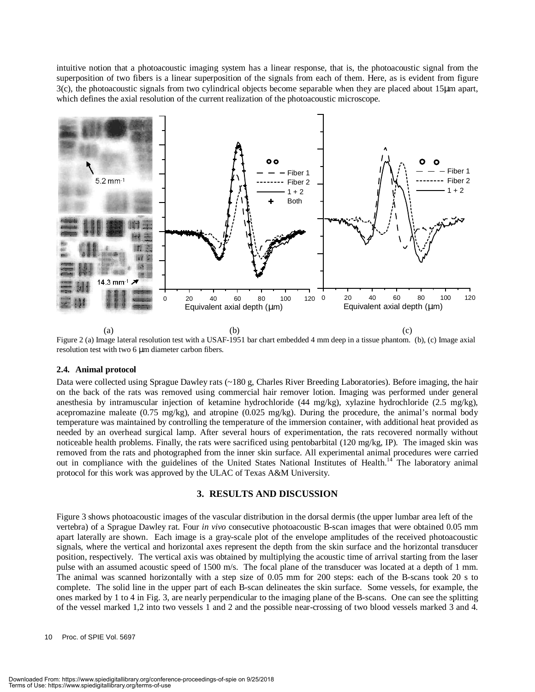intuitive notion that a photoacoustic imaging system has a linear response, that is, the photoacoustic signal from the superposition of two fibers is a linear superposition of the signals from each of them. Here, as is evident from figure 3(c), the photoacoustic signals from two cylindrical objects become separable when they are placed about 15µm apart, which defines the axial resolution of the current realization of the photoacoustic microscope.



Figure 2 (a) Image lateral resolution test with a USAF-1951 bar chart embedded 4 mm deep in a tissue phantom. (b), (c) Image axial resolution test with two 6 µm diameter carbon fibers.

#### **2.4. Animal protocol**

Data were collected using Sprague Dawley rats (~180 g, Charles River Breeding Laboratories). Before imaging, the hair on the back of the rats was removed using commercial hair remover lotion. Imaging was performed under general anesthesia by intramuscular injection of ketamine hydrochloride (44 mg/kg), xylazine hydrochloride (2.5 mg/kg), acepromazine maleate (0.75 mg/kg), and atropine (0.025 mg/kg). During the procedure, the animal's normal body temperature was maintained by controlling the temperature of the immersion container, with additional heat provided as needed by an overhead surgical lamp. After several hours of experimentation, the rats recovered normally without noticeable health problems. Finally, the rats were sacrificed using pentobarbital (120 mg/kg, IP). The imaged skin was removed from the rats and photographed from the inner skin surface. All experimental animal procedures were carried out in compliance with the guidelines of the United States National Institutes of Health.14 The laboratory animal protocol for this work was approved by the ULAC of Texas A&M University.

#### **3. RESULTS AND DISCUSSION**

Figure 3 shows photoacoustic images of the vascular distribution in the dorsal dermis (the upper lumbar area left of the vertebra) of a Sprague Dawley rat. Four *in vivo* consecutive photoacoustic B-scan images that were obtained 0.05 mm apart laterally are shown. Each image is a gray-scale plot of the envelope amplitudes of the received photoacoustic signals, where the vertical and horizontal axes represent the depth from the skin surface and the horizontal transducer position, respectively. The vertical axis was obtained by multiplying the acoustic time of arrival starting from the laser pulse with an assumed acoustic speed of 1500 m/s. The focal plane of the transducer was located at a depth of 1 mm. The animal was scanned horizontally with a step size of 0.05 mm for 200 steps: each of the B-scans took 20 s to complete. The solid line in the upper part of each B-scan delineates the skin surface. Some vessels, for example, the ones marked by 1 to 4 in Fig. 3, are nearly perpendicular to the imaging plane of the B-scans. One can see the splitting of the vessel marked 1,2 into two vessels 1 and 2 and the possible near-crossing of two blood vessels marked 3 and 4.

10 Proc. of SPIE Vol. 5697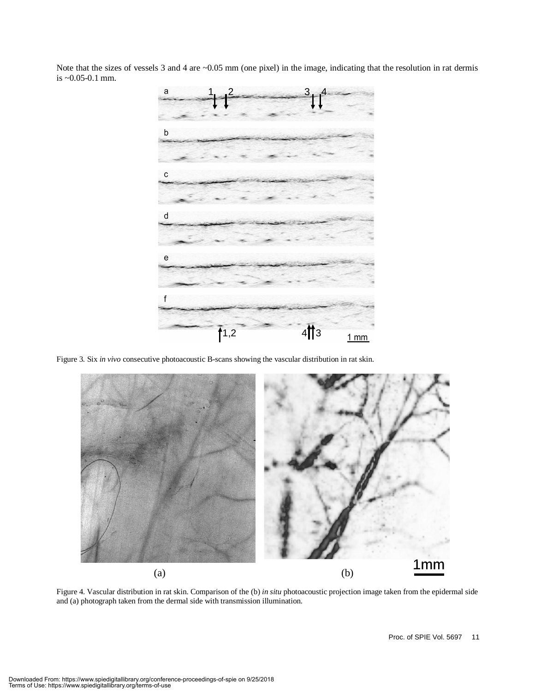Note that the sizes of vessels 3 and 4 are ~0.05 mm (one pixel) in the image, indicating that the resolution in rat dermis is ~0.05-0.1 mm.



Figure 3. Six *in vivo* consecutive photoacoustic B-scans showing the vascular distribution in rat skin.



Figure 4. Vascular distribution in rat skin. Comparison of the (b) *in situ* photoacoustic projection image taken from the epidermal side and (a) photograph taken from the dermal side with transmission illumination.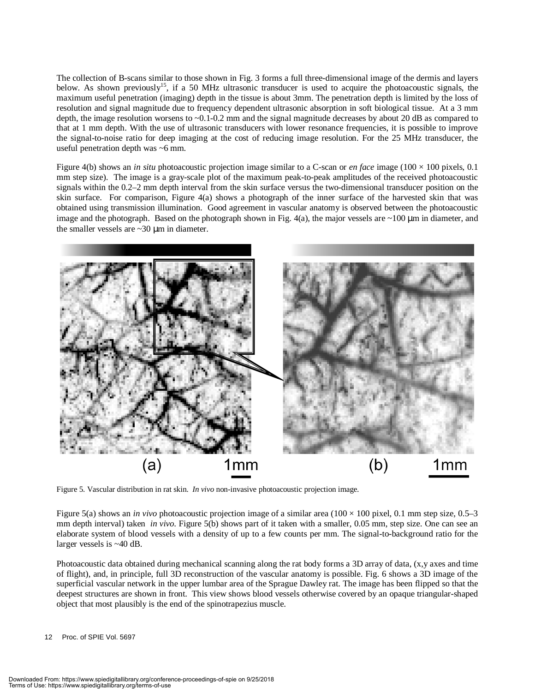The collection of B-scans similar to those shown in Fig. 3 forms a full three-dimensional image of the dermis and layers below. As shown previously<sup>15</sup>, if a 50 MHz ultrasonic transducer is used to acquire the photoacoustic signals, the maximum useful penetration (imaging) depth in the tissue is about 3mm. The penetration depth is limited by the loss of resolution and signal magnitude due to frequency dependent ultrasonic absorption in soft biological tissue. At a 3 mm depth, the image resolution worsens to  $\sim 0.1$ -0.2 mm and the signal magnitude decreases by about 20 dB as compared to that at 1 mm depth. With the use of ultrasonic transducers with lower resonance frequencies, it is possible to improve the signal-to-noise ratio for deep imaging at the cost of reducing image resolution. For the 25 MHz transducer, the useful penetration depth was ~6 mm.

Figure 4(b) shows an *in situ* photoacoustic projection image similar to a C-scan or *en face* image (100 × 100 pixels, 0.1 mm step size). The image is a gray-scale plot of the maximum peak-to-peak amplitudes of the received photoacoustic signals within the 0.2–2 mm depth interval from the skin surface versus the two-dimensional transducer position on the skin surface. For comparison, Figure 4(a) shows a photograph of the inner surface of the harvested skin that was obtained using transmission illumination. Good agreement in vascular anatomy is observed between the photoacoustic image and the photograph. Based on the photograph shown in Fig. 4(a), the major vessels are  $\sim$ 100  $\mu$ m in diameter, and the smaller vessels are  $\sim$ 30  $\mu$ m in diameter.



Figure 5. Vascular distribution in rat skin. *In vivo* non-invasive photoacoustic projection image*.*

Figure 5(a) shows an *in vivo* photoacoustic projection image of a similar area  $(100 \times 100)$  pixel, 0.1 mm step size, 0.5–3 mm depth interval) taken *in vivo*. Figure 5(b) shows part of it taken with a smaller, 0.05 mm, step size. One can see an elaborate system of blood vessels with a density of up to a few counts per mm. The signal-to-background ratio for the larger vessels is ~40 dB.

Photoacoustic data obtained during mechanical scanning along the rat body forms a 3D array of data, (x,y axes and time of flight), and, in principle, full 3D reconstruction of the vascular anatomy is possible. Fig. 6 shows a 3D image of the superficial vascular network in the upper lumbar area of the Sprague Dawley rat. The image has been flipped so that the deepest structures are shown in front. This view shows blood vessels otherwise covered by an opaque triangular-shaped object that most plausibly is the end of the spinotrapezius muscle.

12 Proc. of SPIE Vol. 5697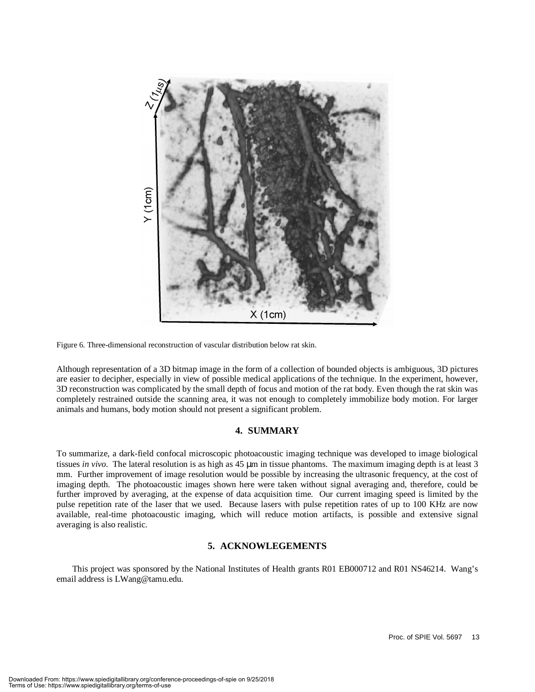

Figure 6. Three-dimensional reconstruction of vascular distribution below rat skin.

Although representation of a 3D bitmap image in the form of a collection of bounded objects is ambiguous, 3D pictures are easier to decipher, especially in view of possible medical applications of the technique. In the experiment, however, 3D reconstruction was complicated by the small depth of focus and motion of the rat body. Even though the rat skin was completely restrained outside the scanning area, it was not enough to completely immobilize body motion. For larger animals and humans, body motion should not present a significant problem.

#### **4. SUMMARY**

To summarize, a dark-field confocal microscopic photoacoustic imaging technique was developed to image biological tissues *in vivo*. The lateral resolution is as high as 45 µm in tissue phantoms. The maximum imaging depth is at least 3 mm. Further improvement of image resolution would be possible by increasing the ultrasonic frequency, at the cost of imaging depth. The photoacoustic images shown here were taken without signal averaging and, therefore, could be further improved by averaging, at the expense of data acquisition time. Our current imaging speed is limited by the pulse repetition rate of the laser that we used. Because lasers with pulse repetition rates of up to 100 KHz are now available, real-time photoacoustic imaging, which will reduce motion artifacts, is possible and extensive signal averaging is also realistic.

#### **5. ACKNOWLEGEMENTS**

This project was sponsored by the National Institutes of Health grants R01 EB000712 and R01 NS46214. Wang's email address is LWang@tamu.edu.